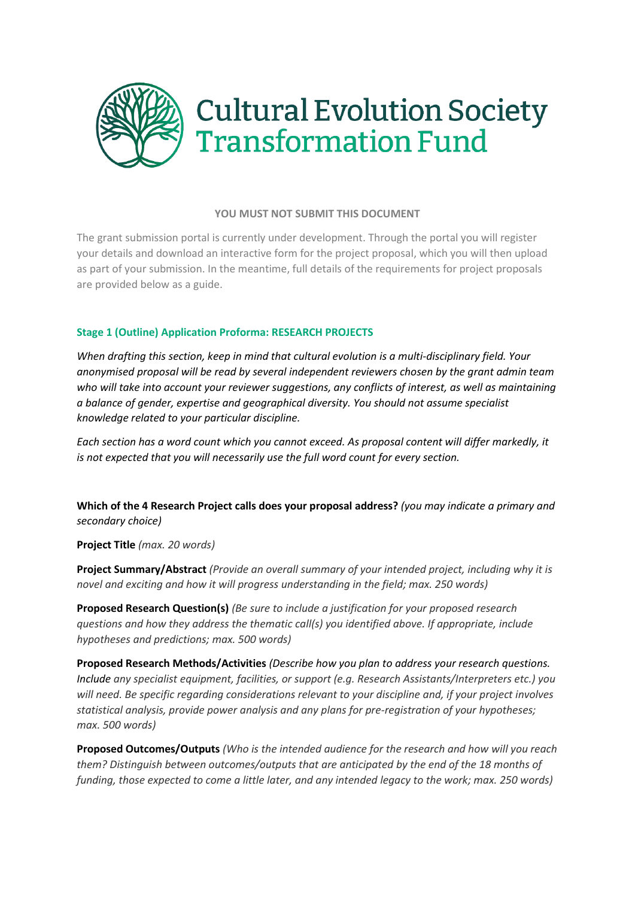

## **YOU MUST NOT SUBMIT THIS DOCUMENT**

The grant submission portal is currently under development. Through the portal you will register your details and download an interactive form for the project proposal, which you will then upload as part of your submission. In the meantime, full details of the requirements for project proposals are provided below as a guide.

## **Stage 1 (Outline) Application Proforma: RESEARCH PROJECTS**

*When drafting this section, keep in mind that cultural evolution is a multi-disciplinary field. Your anonymised proposal will be read by several independent reviewers chosen by the grant admin team who will take into account your reviewer suggestions, any conflicts of interest, as well as maintaining a balance of gender, expertise and geographical diversity. You should not assume specialist knowledge related to your particular discipline.* 

*Each section has a word count which you cannot exceed. As proposal content will differ markedly, it is not expected that you will necessarily use the full word count for every section.*

**Which of the 4 Research Project calls does your proposal address?** *(you may indicate a primary and secondary choice)*

**Project Title** *(max. 20 words)*

**Project Summary/Abstract** *(Provide an overall summary of your intended project, including why it is novel and exciting and how it will progress understanding in the field; max. 250 words)*

**Proposed Research Question(s)** *(Be sure to include a justification for your proposed research questions and how they address the thematic call(s) you identified above. If appropriate, include hypotheses and predictions; max. 500 words)*

**Proposed Research Methods/Activities** *(Describe how you plan to address your research questions. Include any specialist equipment, facilities, or support (e.g. Research Assistants/Interpreters etc.) you will need. Be specific regarding considerations relevant to your discipline and, if your project involves statistical analysis, provide power analysis and any plans for pre-registration of your hypotheses; max. 500 words)*

**Proposed Outcomes/Outputs** *(Who is the intended audience for the research and how will you reach them? Distinguish between outcomes/outputs that are anticipated by the end of the 18 months of funding, those expected to come a little later, and any intended legacy to the work; max. 250 words)*